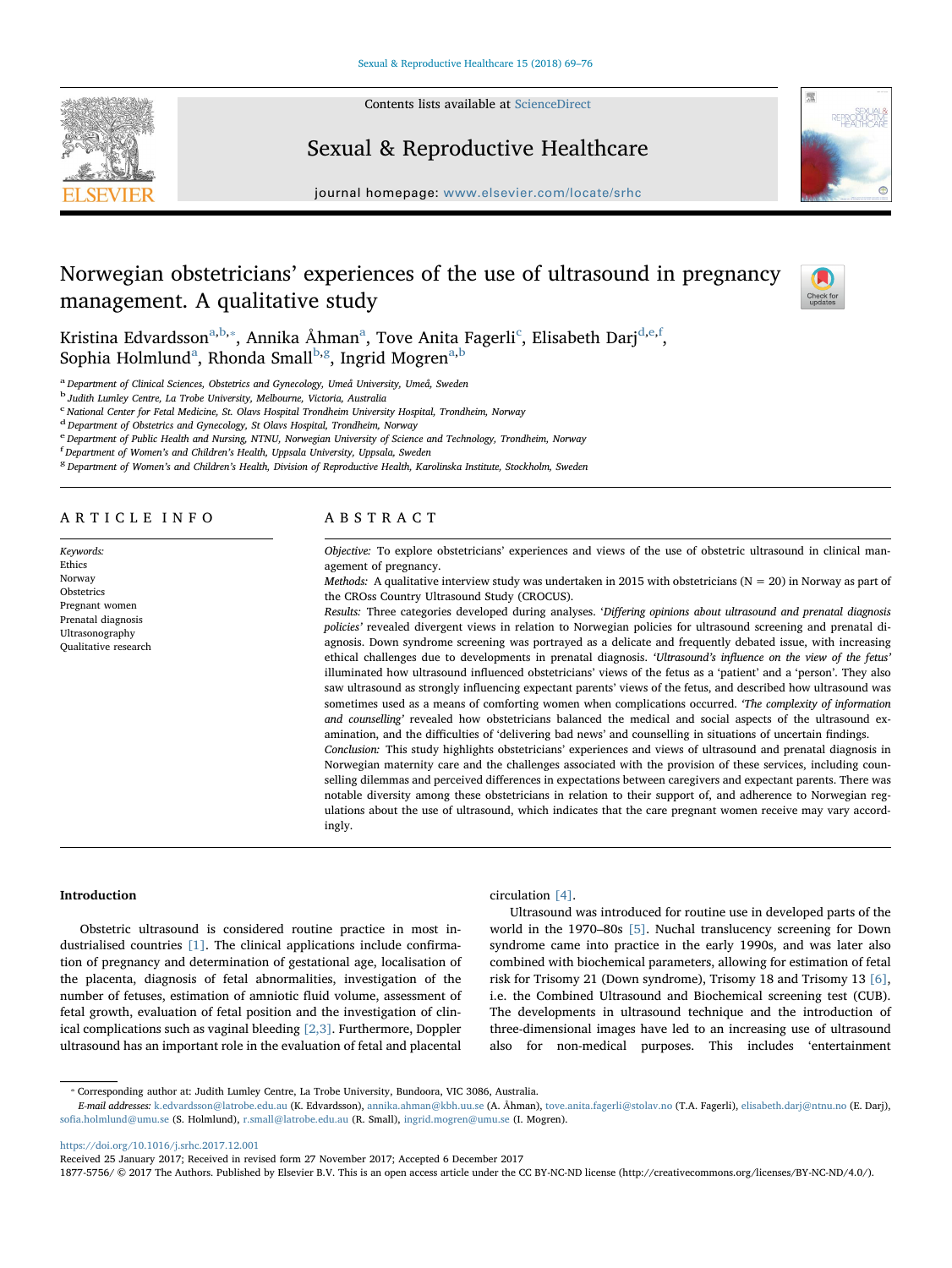

Contents lists available at [ScienceDirect](http://www.sciencedirect.com/science/journal/18775756)

# Sexual & Reproductive Healthcare



journal homepage: [www.elsevier.com/locate/srhc](https://www.elsevier.com/locate/srhc)

# Norwegian obstetricians' experiences of the use of ultrasound in pregnancy management. A qualitative study



Kristina Edvardsson<sup>[a,](#page-0-0)[b,](#page-0-1)</sup>\*, Annik[a](#page-0-0) Åhman<sup>a</sup>, Tove Anita Fagerli<sup>[c](#page-0-3)</sup>, Elisabeth Darj<sup>[d,](#page-0-4)[e,](#page-0-5)[f](#page-0-6)</sup>, Sophi[a](#page-0-0) Holmlund $^{\rm a}$ , Rhonda Small $^{\rm b,g}$  $^{\rm b,g}$  $^{\rm b,g}$  $^{\rm b,g}$ , Ingrid Mogren $^{\rm a,b}$  $^{\rm a,b}$  $^{\rm a,b}$ 

<span id="page-0-0"></span><sup>a</sup> Department of Clinical Sciences, Obstetrics and Gynecology, Umeå University, Umeå, Sweden

<span id="page-0-1"></span><sup>b</sup> Judith Lumley Centre, La Trobe University, Melbourne, Victoria, Australia

<span id="page-0-3"></span>c National Center for Fetal Medicine, St. Olavs Hospital Trondheim University Hospital, Trondheim, Norway

<span id="page-0-4"></span> $^{\rm d}$  Department of Obstetrics and Gynecology, St Olavs Hospital, Trondheim, Norway

<span id="page-0-5"></span>e Department of Public Health and Nursing, NTNU, Norwegian University of Science and Technology, Trondheim, Norway

<span id="page-0-6"></span><sup>f</sup> Department of Women's and Children's Health, Uppsala University, Uppsala, Sweden

<span id="page-0-7"></span><sup>8</sup> Department of Women's and Children's Health, Division of Reproductive Health, Karolinska Institute, Stockholm, Sweden

ingly.

# ARTICLE INFO

Keywords: Ethics Norway **Obstetrics** Pregnant women Prenatal diagnosis Ultrasonography Qualitative research

# ABSTRACT

Objective: To explore obstetricians' experiences and views of the use of obstetric ultrasound in clinical management of pregnancy.

Methods: A qualitative interview study was undertaken in 2015 with obstetricians ( $N = 20$ ) in Norway as part of the CROss Country Ultrasound Study (CROCUS).

Results: Three categories developed during analyses. 'Differing opinions about ultrasound and prenatal diagnosis policies' revealed divergent views in relation to Norwegian policies for ultrasound screening and prenatal diagnosis. Down syndrome screening was portrayed as a delicate and frequently debated issue, with increasing ethical challenges due to developments in prenatal diagnosis. 'Ultrasound's influence on the view of the fetus' illuminated how ultrasound influenced obstetricians' views of the fetus as a 'patient' and a 'person'. They also saw ultrasound as strongly influencing expectant parents' views of the fetus, and described how ultrasound was sometimes used as a means of comforting women when complications occurred. 'The complexity of information and counselling' revealed how obstetricians balanced the medical and social aspects of the ultrasound examination, and the difficulties of 'delivering bad news' and counselling in situations of uncertain findings. Conclusion: This study highlights obstetricians' experiences and views of ultrasound and prenatal diagnosis in Norwegian maternity care and the challenges associated with the provision of these services, including counselling dilemmas and perceived differences in expectations between caregivers and expectant parents. There was notable diversity among these obstetricians in relation to their support of, and adherence to Norwegian reg-

ulations about the use of ultrasound, which indicates that the care pregnant women receive may vary accord-

Introduction

Obstetric ultrasound is considered routine practice in most industrialised countries [\[1\].](#page-6-0) The clinical applications include confirmation of pregnancy and determination of gestational age, localisation of the placenta, diagnosis of fetal abnormalities, investigation of the number of fetuses, estimation of amniotic fluid volume, assessment of fetal growth, evaluation of fetal position and the investigation of clinical complications such as vaginal bleeding  $[2,3]$ . Furthermore, Doppler ultrasound has an important role in the evaluation of fetal and placental

circulation [\[4\]](#page-6-2).

Ultrasound was introduced for routine use in developed parts of the world in the 1970–80s [\[5\]](#page-6-3). Nuchal translucency screening for Down syndrome came into practice in the early 1990s, and was later also combined with biochemical parameters, allowing for estimation of fetal risk for Trisomy 21 (Down syndrome), Trisomy 18 and Trisomy 13 [\[6\]](#page-6-4), i.e. the Combined Ultrasound and Biochemical screening test (CUB). The developments in ultrasound technique and the introduction of three-dimensional images have led to an increasing use of ultrasound also for non-medical purposes. This includes 'entertainment

<span id="page-0-2"></span>⁎ Corresponding author at: Judith Lumley Centre, La Trobe University, Bundoora, VIC 3086, Australia.

E-mail addresses: [k.edvardsson@latrobe.edu.au](mailto:k.edvardsson@latrobe.edu.au) (K. Edvardsson), [annika.ahman@kbh.uu.se](mailto:annika.ahman@kbh.uu.se) (A. Åhman), [tove.anita.fagerli@stolav.no](mailto:tove.anita.fagerli@stolav.no) (T.A. Fagerli), [elisabeth.darj@ntnu.no](mailto:elisabeth.darj@ntnu.no) (E. Darj), sofi[a.holmlund@umu.se](mailto:sofia.holmlund@umu.se) (S. Holmlund), [r.small@latrobe.edu.au](mailto:r.small@latrobe.edu.au) (R. Small), [ingrid.mogren@umu.se](mailto:ingrid.mogren@umu.se) (I. Mogren).

<https://doi.org/10.1016/j.srhc.2017.12.001>

Received 25 January 2017; Received in revised form 27 November 2017; Accepted 6 December 2017

1877-5756/ © 2017 The Authors. Published by Elsevier B.V. This is an open access article under the CC BY-NC-ND license (http://creativecommons.org/licenses/BY-NC-ND/4.0/).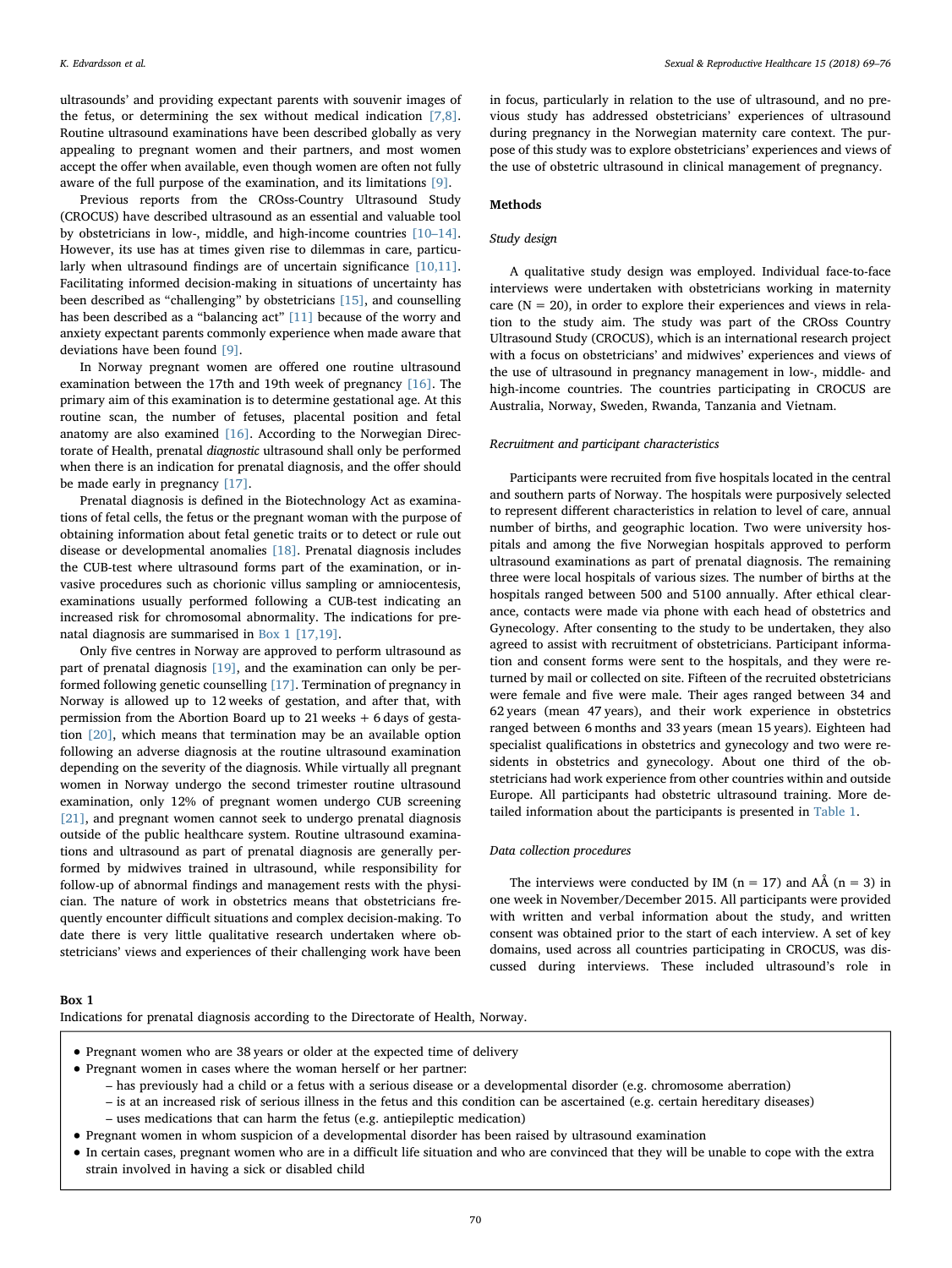ultrasounds' and providing expectant parents with souvenir images of the fetus, or determining the sex without medical indication [\[7,8\]](#page-6-5). Routine ultrasound examinations have been described globally as very appealing to pregnant women and their partners, and most women accept the offer when available, even though women are often not fully aware of the full purpose of the examination, and its limitations [\[9\].](#page-6-6)

Previous reports from the CROss-Country Ultrasound Study (CROCUS) have described ultrasound as an essential and valuable tool by obstetricians in low-, middle, and high-income countries [\[10](#page-6-7)–14]. However, its use has at times given rise to dilemmas in care, particularly when ultrasound findings are of uncertain significance  $[10,11]$ . Facilitating informed decision-making in situations of uncertainty has been described as "challenging" by obstetricians [\[15\]](#page-7-0), and counselling has been described as a "balancing act" [\[11\]](#page-6-8) because of the worry and anxiety expectant parents commonly experience when made aware that deviations have been found [\[9\].](#page-6-6)

In Norway pregnant women are offered one routine ultrasound examination between the 17th and 19th week of pregnancy [\[16\]](#page-7-1). The primary aim of this examination is to determine gestational age. At this routine scan, the number of fetuses, placental position and fetal anatomy are also examined [\[16\]](#page-7-1). According to the Norwegian Directorate of Health, prenatal diagnostic ultrasound shall only be performed when there is an indication for prenatal diagnosis, and the offer should be made early in pregnancy [\[17\]](#page-7-2).

Prenatal diagnosis is defined in the Biotechnology Act as examinations of fetal cells, the fetus or the pregnant woman with the purpose of obtaining information about fetal genetic traits or to detect or rule out disease or developmental anomalies [\[18\].](#page-7-3) Prenatal diagnosis includes the CUB-test where ultrasound forms part of the examination, or invasive procedures such as chorionic villus sampling or amniocentesis, examinations usually performed following a CUB-test indicating an increased risk for chromosomal abnormality. The indications for prenatal diagnosis are summarised in [Box 1](#page-1-0) [\[17,19\].](#page-7-2)

Only five centres in Norway are approved to perform ultrasound as part of prenatal diagnosis [\[19\]](#page-7-4), and the examination can only be performed following genetic counselling [\[17\].](#page-7-2) Termination of pregnancy in Norway is allowed up to 12 weeks of gestation, and after that, with permission from the Abortion Board up to  $21$  weeks  $+6$  days of gestation [\[20\],](#page-7-5) which means that termination may be an available option following an adverse diagnosis at the routine ultrasound examination depending on the severity of the diagnosis. While virtually all pregnant women in Norway undergo the second trimester routine ultrasound examination, only 12% of pregnant women undergo CUB screening [\[21\]](#page-7-6), and pregnant women cannot seek to undergo prenatal diagnosis outside of the public healthcare system. Routine ultrasound examinations and ultrasound as part of prenatal diagnosis are generally performed by midwives trained in ultrasound, while responsibility for follow-up of abnormal findings and management rests with the physician. The nature of work in obstetrics means that obstetricians frequently encounter difficult situations and complex decision-making. To date there is very little qualitative research undertaken where obstetricians' views and experiences of their challenging work have been in focus, particularly in relation to the use of ultrasound, and no previous study has addressed obstetricians' experiences of ultrasound during pregnancy in the Norwegian maternity care context. The purpose of this study was to explore obstetricians' experiences and views of the use of obstetric ultrasound in clinical management of pregnancy.

# Methods

# Study design

A qualitative study design was employed. Individual face-to-face interviews were undertaken with obstetricians working in maternity care  $(N = 20)$ , in order to explore their experiences and views in relation to the study aim. The study was part of the CROss Country Ultrasound Study (CROCUS), which is an international research project with a focus on obstetricians' and midwives' experiences and views of the use of ultrasound in pregnancy management in low-, middle- and high-income countries. The countries participating in CROCUS are Australia, Norway, Sweden, Rwanda, Tanzania and Vietnam.

# Recruitment and participant characteristics

Participants were recruited from five hospitals located in the central and southern parts of Norway. The hospitals were purposively selected to represent different characteristics in relation to level of care, annual number of births, and geographic location. Two were university hospitals and among the five Norwegian hospitals approved to perform ultrasound examinations as part of prenatal diagnosis. The remaining three were local hospitals of various sizes. The number of births at the hospitals ranged between 500 and 5100 annually. After ethical clearance, contacts were made via phone with each head of obstetrics and Gynecology. After consenting to the study to be undertaken, they also agreed to assist with recruitment of obstetricians. Participant information and consent forms were sent to the hospitals, and they were returned by mail or collected on site. Fifteen of the recruited obstetricians were female and five were male. Their ages ranged between 34 and 62 years (mean 47 years), and their work experience in obstetrics ranged between 6 months and 33 years (mean 15 years). Eighteen had specialist qualifications in obstetrics and gynecology and two were residents in obstetrics and gynecology. About one third of the obstetricians had work experience from other countries within and outside Europe. All participants had obstetric ultrasound training. More detailed information about the participants is presented in [Table 1](#page-2-0).

### Data collection procedures

The interviews were conducted by IM ( $n = 17$ ) and AÅ ( $n = 3$ ) in one week in November/December 2015. All participants were provided with written and verbal information about the study, and written consent was obtained prior to the start of each interview. A set of key domains, used across all countries participating in CROCUS, was discussed during interviews. These included ultrasound's role in

# <span id="page-1-0"></span>Box 1

Indications for prenatal diagnosis according to the Directorate of Health, Norway.

- Pregnant women who are 38 years or older at the expected time of delivery
- Pregnant women in cases where the woman herself or her partner:

– has previously had a child or a fetus with a serious disease or a developmental disorder (e.g. chromosome aberration)

- is at an increased risk of serious illness in the fetus and this condition can be ascertained (e.g. certain hereditary diseases)
- uses medications that can harm the fetus (e.g. antiepileptic medication)
- Pregnant women in whom suspicion of a developmental disorder has been raised by ultrasound examination
- In certain cases, pregnant women who are in a difficult life situation and who are convinced that they will be unable to cope with the extra strain involved in having a sick or disabled child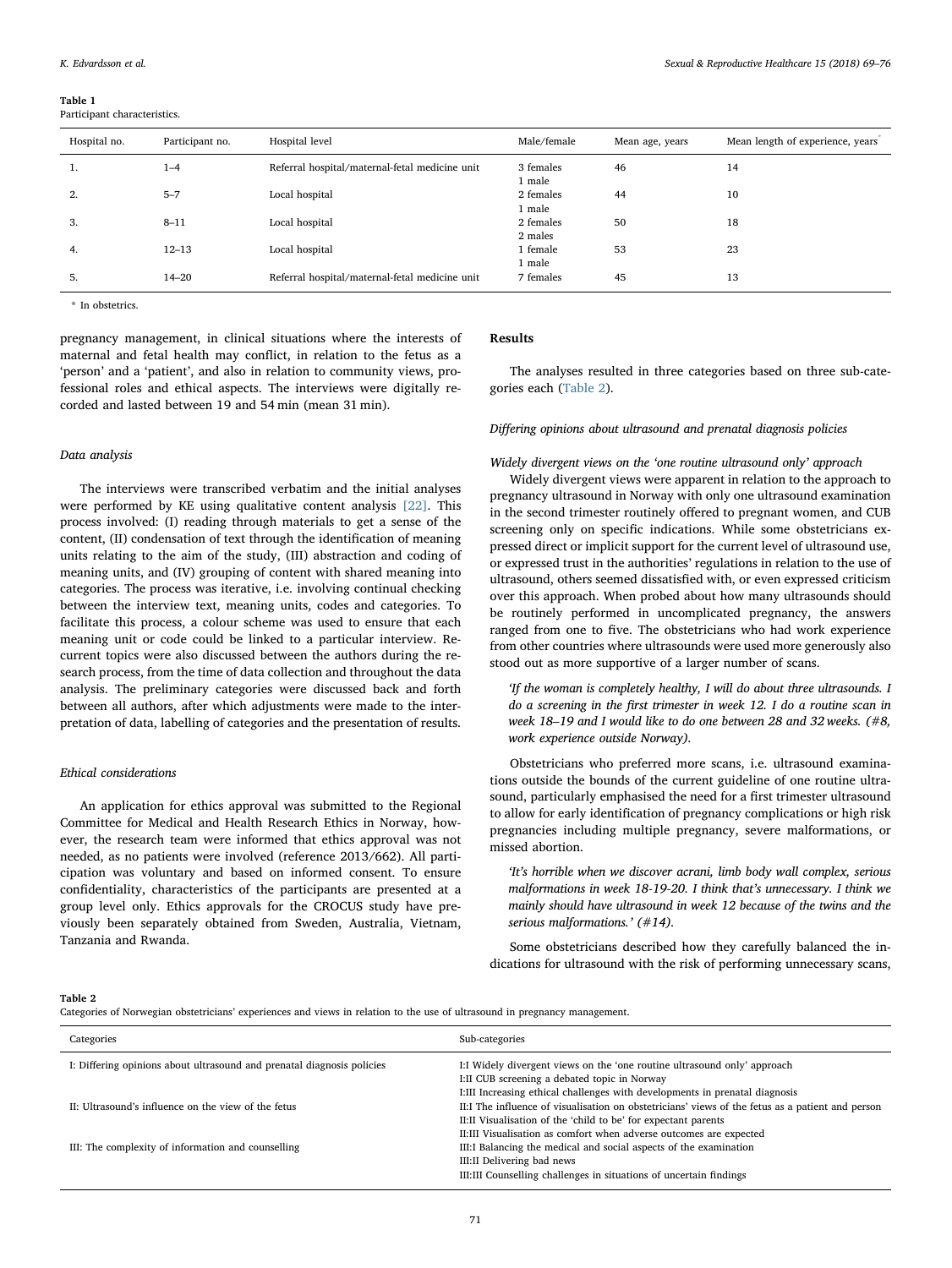<span id="page-2-0"></span>Table 1 Participant characteristics.

| Hospital no. | Participant no. | Hospital level                                 | Male/female          | Mean age, years | Mean length of experience, years |
|--------------|-----------------|------------------------------------------------|----------------------|-----------------|----------------------------------|
| 1.           | $1 - 4$         | Referral hospital/maternal-fetal medicine unit | 3 females<br>1 male  | 46              | 14                               |
| 2.           | $5 - 7$         | Local hospital                                 | 2 females<br>1 male  | 44              | 10                               |
| 3.           | $8 - 11$        | Local hospital                                 | 2 females<br>2 males | 50              | 18                               |
| 4.           | $12 - 13$       | Local hospital                                 | 1 female<br>l male   | 53              | 23                               |
| 5.           | $14 - 20$       | Referral hospital/maternal-fetal medicine unit | 7 females            | 45              | 13                               |

<span id="page-2-2"></span>\* In obstetrics.

pregnancy management, in clinical situations where the interests of maternal and fetal health may conflict, in relation to the fetus as a 'person' and a 'patient', and also in relation to community views, professional roles and ethical aspects. The interviews were digitally recorded and lasted between 19 and 54 min (mean 31 min).

# Data analysis

The interviews were transcribed verbatim and the initial analyses were performed by KE using qualitative content analysis [\[22\].](#page-7-7) This process involved: (I) reading through materials to get a sense of the content, (II) condensation of text through the identification of meaning units relating to the aim of the study, (III) abstraction and coding of meaning units, and (IV) grouping of content with shared meaning into categories. The process was iterative, i.e. involving continual checking between the interview text, meaning units, codes and categories. To facilitate this process, a colour scheme was used to ensure that each meaning unit or code could be linked to a particular interview. Recurrent topics were also discussed between the authors during the research process, from the time of data collection and throughout the data analysis. The preliminary categories were discussed back and forth between all authors, after which adjustments were made to the interpretation of data, labelling of categories and the presentation of results.

# Ethical considerations

An application for ethics approval was submitted to the Regional Committee for Medical and Health Research Ethics in Norway, however, the research team were informed that ethics approval was not needed, as no patients were involved (reference 2013/662). All participation was voluntary and based on informed consent. To ensure confidentiality, characteristics of the participants are presented at a group level only. Ethics approvals for the CROCUS study have previously been separately obtained from Sweden, Australia, Vietnam, Tanzania and Rwanda.

## Results

The analyses resulted in three categories based on three sub-categories each [\(Table 2\)](#page-2-1).

# Differing opinions about ultrasound and prenatal diagnosis policies

Widely divergent views on the 'one routine ultrasound only' approach

Widely divergent views were apparent in relation to the approach to pregnancy ultrasound in Norway with only one ultrasound examination in the second trimester routinely offered to pregnant women, and CUB screening only on specific indications. While some obstetricians expressed direct or implicit support for the current level of ultrasound use, or expressed trust in the authorities' regulations in relation to the use of ultrasound, others seemed dissatisfied with, or even expressed criticism over this approach. When probed about how many ultrasounds should be routinely performed in uncomplicated pregnancy, the answers ranged from one to five. The obstetricians who had work experience from other countries where ultrasounds were used more generously also stood out as more supportive of a larger number of scans.

'If the woman is completely healthy, I will do about three ultrasounds. I do a screening in the first trimester in week 12. I do a routine scan in week 18–19 and I would like to do one between 28 and 32 weeks. (#8, work experience outside Norway).

Obstetricians who preferred more scans, i.e. ultrasound examinations outside the bounds of the current guideline of one routine ultrasound, particularly emphasised the need for a first trimester ultrasound to allow for early identification of pregnancy complications or high risk pregnancies including multiple pregnancy, severe malformations, or missed abortion.

'It's horrible when we discover acrani, limb body wall complex, serious malformations in week 18-19-20. I think that's unnecessary. I think we mainly should have ultrasound in week 12 because of the twins and the serious malformations.' (#14).

Some obstetricians described how they carefully balanced the indications for ultrasound with the risk of performing unnecessary scans,

# <span id="page-2-1"></span>Table 2

Categories of Norwegian obstetricians' experiences and views in relation to the use of ultrasound in pregnancy management.

| Categories                                                             | Sub-categories                                                                                                                                                                                                                           |
|------------------------------------------------------------------------|------------------------------------------------------------------------------------------------------------------------------------------------------------------------------------------------------------------------------------------|
| I: Differing opinions about ultrasound and prenatal diagnosis policies | I:I Widely divergent views on the 'one routine ultrasound only' approach<br>I:II CUB screening a debated topic in Norway<br>I:III Increasing ethical challenges with developments in prenatal diagnosis                                  |
| II: Ultrasound's influence on the view of the fetus                    | II:I The influence of visualisation on obstetricians' views of the fetus as a patient and person<br>II:II Visualisation of the 'child to be' for expectant parents<br>II:III Visualisation as comfort when adverse outcomes are expected |
| III: The complexity of information and counselling                     | III:I Balancing the medical and social aspects of the examination<br>III:II Delivering bad news<br>III:III Counselling challenges in situations of uncertain findings                                                                    |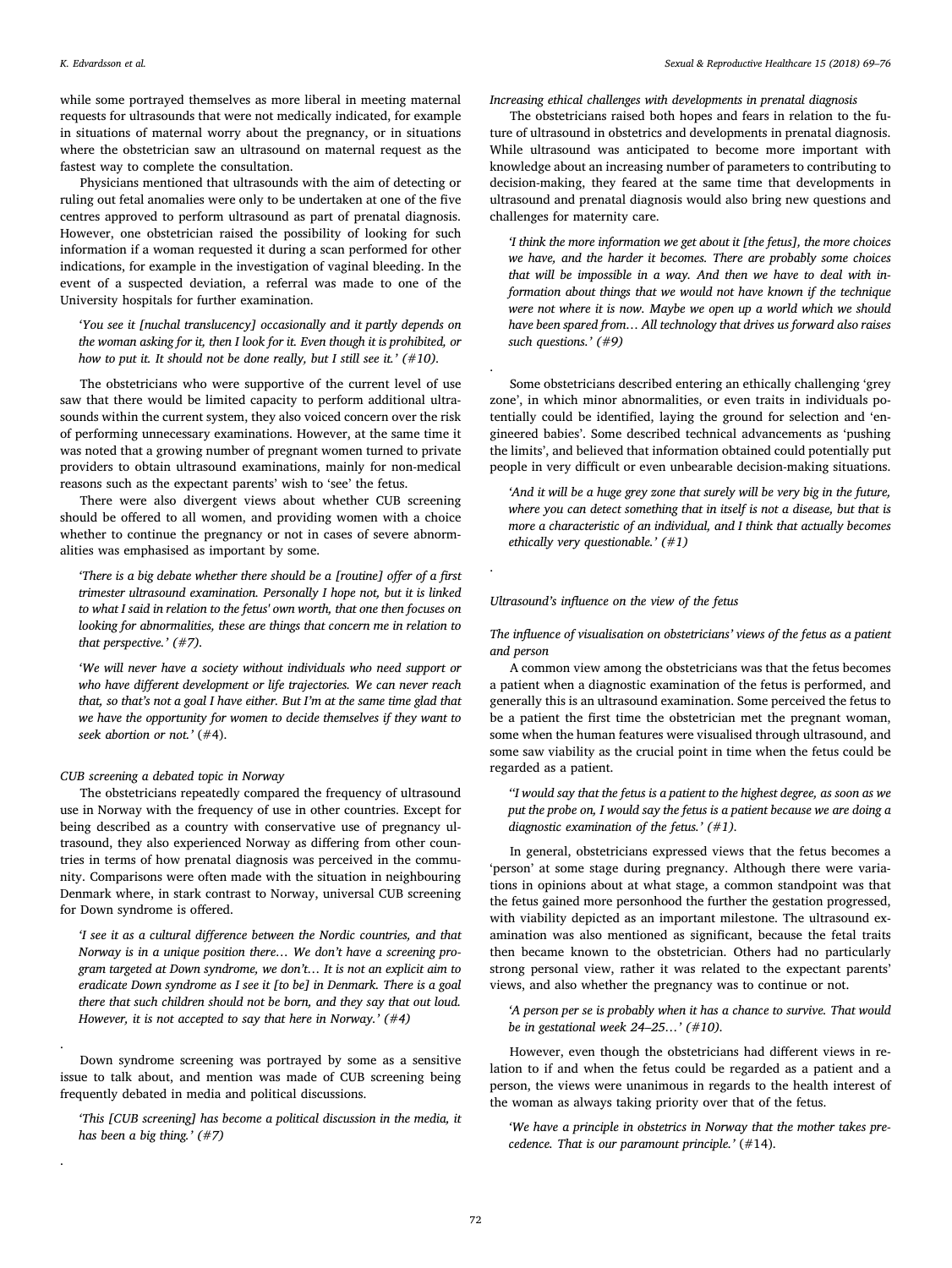while some portrayed themselves as more liberal in meeting maternal requests for ultrasounds that were not medically indicated, for example in situations of maternal worry about the pregnancy, or in situations where the obstetrician saw an ultrasound on maternal request as the fastest way to complete the consultation.

Physicians mentioned that ultrasounds with the aim of detecting or ruling out fetal anomalies were only to be undertaken at one of the five centres approved to perform ultrasound as part of prenatal diagnosis. However, one obstetrician raised the possibility of looking for such information if a woman requested it during a scan performed for other indications, for example in the investigation of vaginal bleeding. In the event of a suspected deviation, a referral was made to one of the University hospitals for further examination.

'You see it [nuchal translucency] occasionally and it partly depends on the woman asking for it, then I look for it. Even though it is prohibited, or how to put it. It should not be done really, but I still see it.' (#10).

The obstetricians who were supportive of the current level of use saw that there would be limited capacity to perform additional ultrasounds within the current system, they also voiced concern over the risk of performing unnecessary examinations. However, at the same time it was noted that a growing number of pregnant women turned to private providers to obtain ultrasound examinations, mainly for non-medical reasons such as the expectant parents' wish to 'see' the fetus.

There were also divergent views about whether CUB screening should be offered to all women, and providing women with a choice whether to continue the pregnancy or not in cases of severe abnormalities was emphasised as important by some.

'There is a big debate whether there should be a [routine] offer of a first trimester ultrasound examination. Personally I hope not, but it is linked to what I said in relation to the fetus' own worth, that one then focuses on looking for abnormalities, these are things that concern me in relation to that perspective.' (#7).

'We will never have a society without individuals who need support or who have different development or life trajectories. We can never reach that, so that's not a goal I have either. But I'm at the same time glad that we have the opportunity for women to decide themselves if they want to seek abortion or not.' (#4).

### CUB screening a debated topic in Norway

.

.

The obstetricians repeatedly compared the frequency of ultrasound use in Norway with the frequency of use in other countries. Except for being described as a country with conservative use of pregnancy ultrasound, they also experienced Norway as differing from other countries in terms of how prenatal diagnosis was perceived in the community. Comparisons were often made with the situation in neighbouring Denmark where, in stark contrast to Norway, universal CUB screening for Down syndrome is offered.

'I see it as a cultural difference between the Nordic countries, and that Norway is in a unique position there… We don't have a screening program targeted at Down syndrome, we don't… It is not an explicit aim to eradicate Down syndrome as I see it [to be] in Denmark. There is a goal there that such children should not be born, and they say that out loud. However, it is not accepted to say that here in Norway.'  $(#4)$ 

Down syndrome screening was portrayed by some as a sensitive issue to talk about, and mention was made of CUB screening being frequently debated in media and political discussions.

'This [CUB screening] has become a political discussion in the media, it has been a big thing.' (#7)

Increasing ethical challenges with developments in prenatal diagnosis

The obstetricians raised both hopes and fears in relation to the future of ultrasound in obstetrics and developments in prenatal diagnosis. While ultrasound was anticipated to become more important with knowledge about an increasing number of parameters to contributing to decision-making, they feared at the same time that developments in ultrasound and prenatal diagnosis would also bring new questions and challenges for maternity care.

'I think the more information we get about it [the fetus], the more choices we have, and the harder it becomes. There are probably some choices that will be impossible in a way. And then we have to deal with information about things that we would not have known if the technique were not where it is now. Maybe we open up a world which we should have been spared from… All technology that drives us forward also raises such questions.' (#9)

Some obstetricians described entering an ethically challenging 'grey zone', in which minor abnormalities, or even traits in individuals potentially could be identified, laying the ground for selection and 'engineered babies'. Some described technical advancements as 'pushing the limits', and believed that information obtained could potentially put people in very difficult or even unbearable decision-making situations.

'And it will be a huge grey zone that surely will be very big in the future, where you can detect something that in itself is not a disease, but that is more a characteristic of an individual, and I think that actually becomes ethically very questionable.' (#1)

Ultrasound's influence on the view of the fetus

.

.

The influence of visualisation on obstetricians' views of the fetus as a patient and person

A common view among the obstetricians was that the fetus becomes a patient when a diagnostic examination of the fetus is performed, and generally this is an ultrasound examination. Some perceived the fetus to be a patient the first time the obstetrician met the pregnant woman, some when the human features were visualised through ultrasound, and some saw viability as the crucial point in time when the fetus could be regarded as a patient.

''I would say that the fetus is a patient to the highest degree, as soon as we put the probe on, I would say the fetus is a patient because we are doing a diagnostic examination of the fetus.' (#1).

In general, obstetricians expressed views that the fetus becomes a 'person' at some stage during pregnancy. Although there were variations in opinions about at what stage, a common standpoint was that the fetus gained more personhood the further the gestation progressed, with viability depicted as an important milestone. The ultrasound examination was also mentioned as significant, because the fetal traits then became known to the obstetrician. Others had no particularly strong personal view, rather it was related to the expectant parents' views, and also whether the pregnancy was to continue or not.

'A person per se is probably when it has a chance to survive. That would be in gestational week 24–25…' (#10).

However, even though the obstetricians had different views in relation to if and when the fetus could be regarded as a patient and a person, the views were unanimous in regards to the health interest of the woman as always taking priority over that of the fetus.

'We have a principle in obstetrics in Norway that the mother takes precedence. That is our paramount principle.' (#14).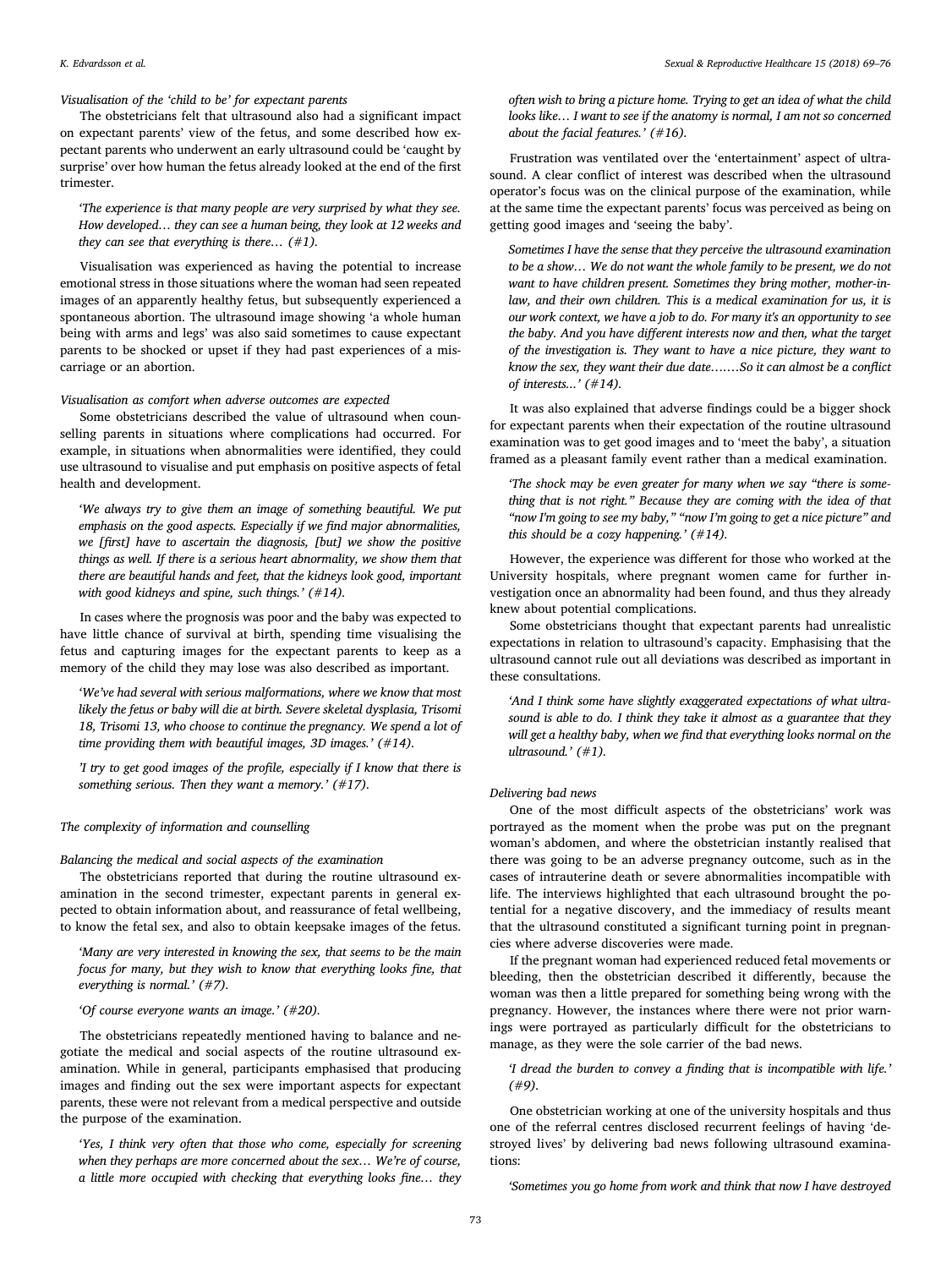# Visualisation of the 'child to be' for expectant parents

The obstetricians felt that ultrasound also had a significant impact on expectant parents' view of the fetus, and some described how expectant parents who underwent an early ultrasound could be 'caught by surprise' over how human the fetus already looked at the end of the first trimester.

'The experience is that many people are very surprised by what they see. How developed… they can see a human being, they look at 12 weeks and they can see that everything is there...  $(\#1)$ .

Visualisation was experienced as having the potential to increase emotional stress in those situations where the woman had seen repeated images of an apparently healthy fetus, but subsequently experienced a spontaneous abortion. The ultrasound image showing 'a whole human being with arms and legs' was also said sometimes to cause expectant parents to be shocked or upset if they had past experiences of a miscarriage or an abortion.

### Visualisation as comfort when adverse outcomes are expected

Some obstetricians described the value of ultrasound when counselling parents in situations where complications had occurred. For example, in situations when abnormalities were identified, they could use ultrasound to visualise and put emphasis on positive aspects of fetal health and development.

'We always try to give them an image of something beautiful. We put emphasis on the good aspects. Especially if we find major abnormalities, we [first] have to ascertain the diagnosis, [but] we show the positive things as well. If there is a serious heart abnormality, we show them that there are beautiful hands and feet, that the kidneys look good, important with good kidneys and spine, such things.' (#14).

In cases where the prognosis was poor and the baby was expected to have little chance of survival at birth, spending time visualising the fetus and capturing images for the expectant parents to keep as a memory of the child they may lose was also described as important.

'We've had several with serious malformations, where we know that most likely the fetus or baby will die at birth. Severe skeletal dysplasia, Trisomi 18, Trisomi 13, who choose to continue the pregnancy. We spend a lot of time providing them with beautiful images, 3D images.' (#14).

'I try to get good images of the profile, especially if I know that there is something serious. Then they want a memory.'  $(\#17)$ .

# The complexity of information and counselling

# Balancing the medical and social aspects of the examination

The obstetricians reported that during the routine ultrasound examination in the second trimester, expectant parents in general expected to obtain information about, and reassurance of fetal wellbeing, to know the fetal sex, and also to obtain keepsake images of the fetus.

'Many are very interested in knowing the sex, that seems to be the main focus for many, but they wish to know that everything looks fine, that everything is normal.' (#7).

# 'Of course everyone wants an image.' (#20).

The obstetricians repeatedly mentioned having to balance and negotiate the medical and social aspects of the routine ultrasound examination. While in general, participants emphasised that producing images and finding out the sex were important aspects for expectant parents, these were not relevant from a medical perspective and outside the purpose of the examination.

'Yes, I think very often that those who come, especially for screening when they perhaps are more concerned about the sex... We're of course, a little more occupied with checking that everything looks fine… they

often wish to bring a picture home. Trying to get an idea of what the child looks like… I want to see if the anatomy is normal, I am not so concerned about the facial features.' (#16).

Frustration was ventilated over the 'entertainment' aspect of ultrasound. A clear conflict of interest was described when the ultrasound operator's focus was on the clinical purpose of the examination, while at the same time the expectant parents' focus was perceived as being on getting good images and 'seeing the baby'.

Sometimes I have the sense that they perceive the ultrasound examination to be a show… We do not want the whole family to be present, we do not want to have children present. Sometimes they bring mother, mother-inlaw, and their own children. This is a medical examination for us, it is our work context, we have a job to do. For many it's an opportunity to see the baby. And you have different interests now and then, what the target of the investigation is. They want to have a nice picture, they want to know the sex, they want their due date….…So it can almost be a conflict of interests...' (#14).

It was also explained that adverse findings could be a bigger shock for expectant parents when their expectation of the routine ultrasound examination was to get good images and to 'meet the baby', a situation framed as a pleasant family event rather than a medical examination.

'The shock may be even greater for many when we say "there is something that is not right." Because they are coming with the idea of that "now I'm going to see my baby," "now I'm going to get a nice picture" and this should be a cozy happening.'  $(\#14)$ .

However, the experience was different for those who worked at the University hospitals, where pregnant women came for further investigation once an abnormality had been found, and thus they already knew about potential complications.

Some obstetricians thought that expectant parents had unrealistic expectations in relation to ultrasound's capacity. Emphasising that the ultrasound cannot rule out all deviations was described as important in these consultations.

'And I think some have slightly exaggerated expectations of what ultrasound is able to do. I think they take it almost as a guarantee that they will get a healthy baby, when we find that everything looks normal on the ultrasound.' (#1).

# Delivering bad news

One of the most difficult aspects of the obstetricians' work was portrayed as the moment when the probe was put on the pregnant woman's abdomen, and where the obstetrician instantly realised that there was going to be an adverse pregnancy outcome, such as in the cases of intrauterine death or severe abnormalities incompatible with life. The interviews highlighted that each ultrasound brought the potential for a negative discovery, and the immediacy of results meant that the ultrasound constituted a significant turning point in pregnancies where adverse discoveries were made.

If the pregnant woman had experienced reduced fetal movements or bleeding, then the obstetrician described it differently, because the woman was then a little prepared for something being wrong with the pregnancy. However, the instances where there were not prior warnings were portrayed as particularly difficult for the obstetricians to manage, as they were the sole carrier of the bad news.

'I dread the burden to convey a finding that is incompatible with life.' (#9).

One obstetrician working at one of the university hospitals and thus one of the referral centres disclosed recurrent feelings of having 'destroyed lives' by delivering bad news following ultrasound examinations:

'Sometimes you go home from work and think that now I have destroyed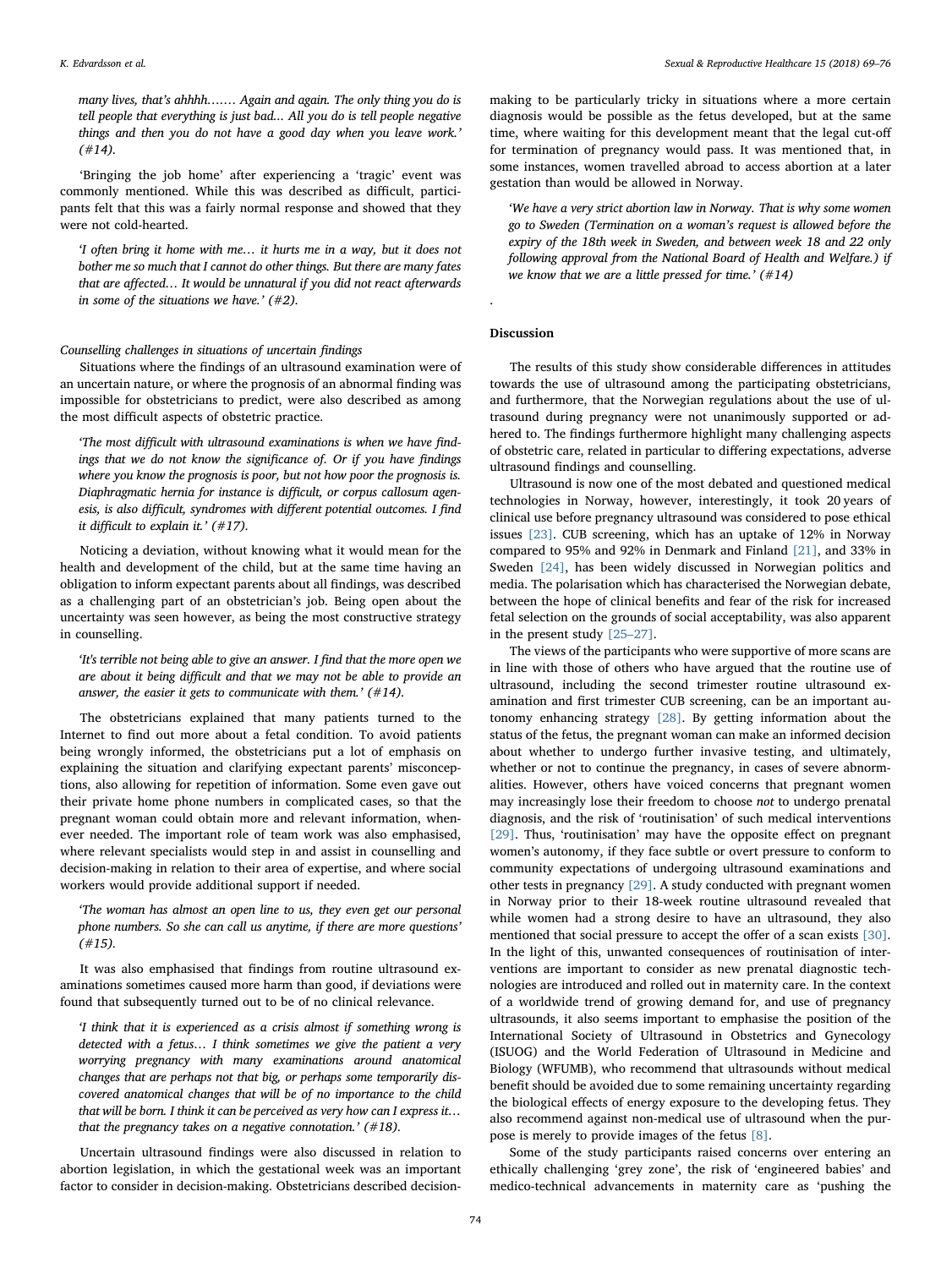many lives, that's ahhhh….… Again and again. The only thing you do is tell people that everything is just bad... All you do is tell people negative things and then you do not have a good day when you leave work.'  $(#14).$ 

'Bringing the job home' after experiencing a 'tragic' event was commonly mentioned. While this was described as difficult, participants felt that this was a fairly normal response and showed that they were not cold-hearted.

'I often bring it home with me… it hurts me in a way, but it does not bother me so much that I cannot do other things. But there are many fates that are affected… It would be unnatural if you did not react afterwards in some of the situations we have.'  $(\#2)$ .

# Counselling challenges in situations of uncertain findings

Situations where the findings of an ultrasound examination were of an uncertain nature, or where the prognosis of an abnormal finding was impossible for obstetricians to predict, were also described as among the most difficult aspects of obstetric practice.

'The most difficult with ultrasound examinations is when we have findings that we do not know the significance of. Or if you have findings where you know the prognosis is poor, but not how poor the prognosis is. Diaphragmatic hernia for instance is difficult, or corpus callosum agenesis, is also difficult, syndromes with different potential outcomes. I find it difficult to explain it.' (#17).

Noticing a deviation, without knowing what it would mean for the health and development of the child, but at the same time having an obligation to inform expectant parents about all findings, was described as a challenging part of an obstetrician's job. Being open about the uncertainty was seen however, as being the most constructive strategy in counselling.

'It's terrible not being able to give an answer. I find that the more open we are about it being difficult and that we may not be able to provide an answer, the easier it gets to communicate with them.' (#14).

The obstetricians explained that many patients turned to the Internet to find out more about a fetal condition. To avoid patients being wrongly informed, the obstetricians put a lot of emphasis on explaining the situation and clarifying expectant parents' misconceptions, also allowing for repetition of information. Some even gave out their private home phone numbers in complicated cases, so that the pregnant woman could obtain more and relevant information, whenever needed. The important role of team work was also emphasised, where relevant specialists would step in and assist in counselling and decision-making in relation to their area of expertise, and where social workers would provide additional support if needed.

'The woman has almost an open line to us, they even get our personal phone numbers. So she can call us anytime, if there are more questions'  $($  $#15)$ .

It was also emphasised that findings from routine ultrasound examinations sometimes caused more harm than good, if deviations were found that subsequently turned out to be of no clinical relevance.

'I think that it is experienced as a crisis almost if something wrong is detected with a fetus… I think sometimes we give the patient a very worrying pregnancy with many examinations around anatomical changes that are perhaps not that big, or perhaps some temporarily discovered anatomical changes that will be of no importance to the child that will be born. I think it can be perceived as very how can I express it… that the pregnancy takes on a negative connotation.' (#18).

Uncertain ultrasound findings were also discussed in relation to abortion legislation, in which the gestational week was an important factor to consider in decision-making. Obstetricians described decision-

making to be particularly tricky in situations where a more certain diagnosis would be possible as the fetus developed, but at the same time, where waiting for this development meant that the legal cut-off for termination of pregnancy would pass. It was mentioned that, in some instances, women travelled abroad to access abortion at a later gestation than would be allowed in Norway.

'We have a very strict abortion law in Norway. That is why some women go to Sweden (Termination on a woman's request is allowed before the expiry of the 18th week in Sweden, and between week 18 and 22 only following approval from the National Board of Health and Welfare.) if we know that we are a little pressed for time.' (#14)

# Discussion

.

The results of this study show considerable differences in attitudes towards the use of ultrasound among the participating obstetricians, and furthermore, that the Norwegian regulations about the use of ultrasound during pregnancy were not unanimously supported or adhered to. The findings furthermore highlight many challenging aspects of obstetric care, related in particular to differing expectations, adverse ultrasound findings and counselling.

Ultrasound is now one of the most debated and questioned medical technologies in Norway, however, interestingly, it took 20 years of clinical use before pregnancy ultrasound was considered to pose ethical issues [\[23\]](#page-7-8). CUB screening, which has an uptake of 12% in Norway compared to 95% and 92% in Denmark and Finland [\[21\],](#page-7-6) and 33% in Sweden [\[24\],](#page-7-9) has been widely discussed in Norwegian politics and media. The polarisation which has characterised the Norwegian debate, between the hope of clinical benefits and fear of the risk for increased fetal selection on the grounds of social acceptability, was also apparent in the present study [25–[27\].](#page-7-10)

The views of the participants who were supportive of more scans are in line with those of others who have argued that the routine use of ultrasound, including the second trimester routine ultrasound examination and first trimester CUB screening, can be an important autonomy enhancing strategy [\[28\].](#page-7-11) By getting information about the status of the fetus, the pregnant woman can make an informed decision about whether to undergo further invasive testing, and ultimately, whether or not to continue the pregnancy, in cases of severe abnormalities. However, others have voiced concerns that pregnant women may increasingly lose their freedom to choose not to undergo prenatal diagnosis, and the risk of 'routinisation' of such medical interventions [\[29\]](#page-7-12). Thus, 'routinisation' may have the opposite effect on pregnant women's autonomy, if they face subtle or overt pressure to conform to community expectations of undergoing ultrasound examinations and other tests in pregnancy [\[29\].](#page-7-12) A study conducted with pregnant women in Norway prior to their 18-week routine ultrasound revealed that while women had a strong desire to have an ultrasound, they also mentioned that social pressure to accept the offer of a scan exists [\[30\]](#page-7-13). In the light of this, unwanted consequences of routinisation of interventions are important to consider as new prenatal diagnostic technologies are introduced and rolled out in maternity care. In the context of a worldwide trend of growing demand for, and use of pregnancy ultrasounds, it also seems important to emphasise the position of the International Society of Ultrasound in Obstetrics and Gynecology (ISUOG) and the World Federation of Ultrasound in Medicine and Biology (WFUMB), who recommend that ultrasounds without medical benefit should be avoided due to some remaining uncertainty regarding the biological effects of energy exposure to the developing fetus. They also recommend against non-medical use of ultrasound when the purpose is merely to provide images of the fetus [\[8\]](#page-6-9).

Some of the study participants raised concerns over entering an ethically challenging 'grey zone', the risk of 'engineered babies' and medico-technical advancements in maternity care as 'pushing the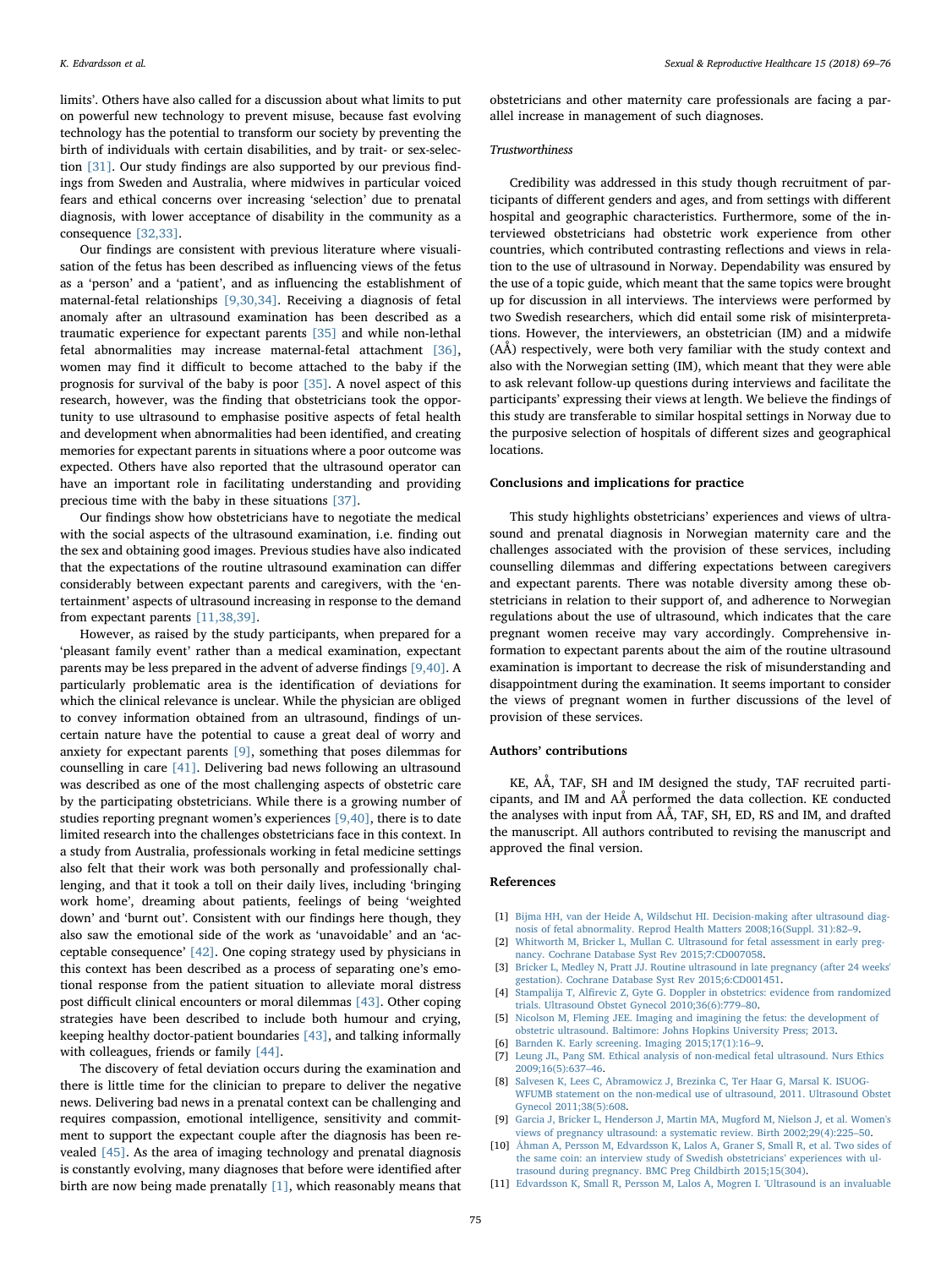limits'. Others have also called for a discussion about what limits to put on powerful new technology to prevent misuse, because fast evolving technology has the potential to transform our society by preventing the birth of individuals with certain disabilities, and by trait- or sex-selection [\[31\]](#page-7-14). Our study findings are also supported by our previous findings from Sweden and Australia, where midwives in particular voiced fears and ethical concerns over increasing 'selection' due to prenatal diagnosis, with lower acceptance of disability in the community as a consequence [\[32,33\].](#page-7-15)

Our findings are consistent with previous literature where visualisation of the fetus has been described as influencing views of the fetus as a 'person' and a 'patient', and as influencing the establishment of maternal-fetal relationships [\[9,30,34\].](#page-6-6) Receiving a diagnosis of fetal anomaly after an ultrasound examination has been described as a traumatic experience for expectant parents [\[35\]](#page-7-16) and while non-lethal fetal abnormalities may increase maternal-fetal attachment [\[36\]](#page-7-17), women may find it difficult to become attached to the baby if the prognosis for survival of the baby is poor [\[35\]](#page-7-16). A novel aspect of this research, however, was the finding that obstetricians took the opportunity to use ultrasound to emphasise positive aspects of fetal health and development when abnormalities had been identified, and creating memories for expectant parents in situations where a poor outcome was expected. Others have also reported that the ultrasound operator can have an important role in facilitating understanding and providing precious time with the baby in these situations [\[37\].](#page-7-18)

Our findings show how obstetricians have to negotiate the medical with the social aspects of the ultrasound examination, i.e. finding out the sex and obtaining good images. Previous studies have also indicated that the expectations of the routine ultrasound examination can differ considerably between expectant parents and caregivers, with the 'entertainment' aspects of ultrasound increasing in response to the demand from expectant parents [\[11,38,39\]](#page-6-8).

However, as raised by the study participants, when prepared for a 'pleasant family event' rather than a medical examination, expectant parents may be less prepared in the advent of adverse findings [\[9,40\]](#page-6-6). A particularly problematic area is the identification of deviations for which the clinical relevance is unclear. While the physician are obliged to convey information obtained from an ultrasound, findings of uncertain nature have the potential to cause a great deal of worry and anxiety for expectant parents [\[9\]](#page-6-6), something that poses dilemmas for counselling in care [\[41\]](#page-7-19). Delivering bad news following an ultrasound was described as one of the most challenging aspects of obstetric care by the participating obstetricians. While there is a growing number of studies reporting pregnant women's experiences [\[9,40\],](#page-6-6) there is to date limited research into the challenges obstetricians face in this context. In a study from Australia, professionals working in fetal medicine settings also felt that their work was both personally and professionally challenging, and that it took a toll on their daily lives, including 'bringing work home', dreaming about patients, feelings of being 'weighted down' and 'burnt out'. Consistent with our findings here though, they also saw the emotional side of the work as 'unavoidable' and an 'acceptable consequence' [\[42\]](#page-7-20). One coping strategy used by physicians in this context has been described as a process of separating one's emotional response from the patient situation to alleviate moral distress post difficult clinical encounters or moral dilemmas [\[43\]](#page-7-21). Other coping strategies have been described to include both humour and crying, keeping healthy doctor-patient boundaries [\[43\]](#page-7-21), and talking informally with colleagues, friends or family [\[44\]](#page-7-22).

The discovery of fetal deviation occurs during the examination and there is little time for the clinician to prepare to deliver the negative news. Delivering bad news in a prenatal context can be challenging and requires compassion, emotional intelligence, sensitivity and commitment to support the expectant couple after the diagnosis has been revealed [\[45\].](#page-7-23) As the area of imaging technology and prenatal diagnosis is constantly evolving, many diagnoses that before were identified after birth are now being made prenatally [\[1\],](#page-6-0) which reasonably means that

obstetricians and other maternity care professionals are facing a parallel increase in management of such diagnoses.

## Trustworthiness

Credibility was addressed in this study though recruitment of participants of different genders and ages, and from settings with different hospital and geographic characteristics. Furthermore, some of the interviewed obstetricians had obstetric work experience from other countries, which contributed contrasting reflections and views in relation to the use of ultrasound in Norway. Dependability was ensured by the use of a topic guide, which meant that the same topics were brought up for discussion in all interviews. The interviews were performed by two Swedish researchers, which did entail some risk of misinterpretations. However, the interviewers, an obstetrician (IM) and a midwife (AÅ) respectively, were both very familiar with the study context and also with the Norwegian setting (IM), which meant that they were able to ask relevant follow-up questions during interviews and facilitate the participants' expressing their views at length. We believe the findings of this study are transferable to similar hospital settings in Norway due to the purposive selection of hospitals of different sizes and geographical locations.

# Conclusions and implications for practice

This study highlights obstetricians' experiences and views of ultrasound and prenatal diagnosis in Norwegian maternity care and the challenges associated with the provision of these services, including counselling dilemmas and differing expectations between caregivers and expectant parents. There was notable diversity among these obstetricians in relation to their support of, and adherence to Norwegian regulations about the use of ultrasound, which indicates that the care pregnant women receive may vary accordingly. Comprehensive information to expectant parents about the aim of the routine ultrasound examination is important to decrease the risk of misunderstanding and disappointment during the examination. It seems important to consider the views of pregnant women in further discussions of the level of provision of these services.

## Authors' contributions

KE, AÅ, TAF, SH and IM designed the study, TAF recruited participants, and IM and AÅ performed the data collection. KE conducted the analyses with input from AÅ, TAF, SH, ED, RS and IM, and drafted the manuscript. All authors contributed to revising the manuscript and approved the final version.

### References

- <span id="page-6-0"></span>[1] [Bijma HH, van der Heide A, Wildschut HI. Decision-making after ultrasound diag](http://refhub.elsevier.com/S1877-5756(17)30037-X/h0005)[nosis of fetal abnormality. Reprod Health Matters 2008;16\(Suppl. 31\):82](http://refhub.elsevier.com/S1877-5756(17)30037-X/h0005)–9.
- <span id="page-6-1"></span>[2] [Whitworth M, Bricker L, Mullan C. Ultrasound for fetal assessment in early preg](http://refhub.elsevier.com/S1877-5756(17)30037-X/h0010)[nancy. Cochrane Database Syst Rev 2015;7:CD007058.](http://refhub.elsevier.com/S1877-5756(17)30037-X/h0010)
- [3] [Bricker L, Medley N, Pratt JJ. Routine ultrasound in late pregnancy \(after 24 weeks'](http://refhub.elsevier.com/S1877-5756(17)30037-X/h0015) [gestation\). Cochrane Database Syst Rev 2015;6:CD001451.](http://refhub.elsevier.com/S1877-5756(17)30037-X/h0015)
- <span id="page-6-2"></span>[4] Stampalija T, Alfi[revic Z, Gyte G. Doppler in obstetrics: evidence from randomized](http://refhub.elsevier.com/S1877-5756(17)30037-X/h0020) [trials. Ultrasound Obstet Gynecol 2010;36\(6\):779](http://refhub.elsevier.com/S1877-5756(17)30037-X/h0020)–80.
- <span id="page-6-3"></span>[5] [Nicolson M, Fleming JEE. Imaging and imagining the fetus: the development of](http://refhub.elsevier.com/S1877-5756(17)30037-X/h0025) [obstetric ultrasound. Baltimore: Johns Hopkins University Press; 2013.](http://refhub.elsevier.com/S1877-5756(17)30037-X/h0025)
- <span id="page-6-4"></span>[6] [Barnden K. Early screening. Imaging 2015;17\(1\):16](http://refhub.elsevier.com/S1877-5756(17)30037-X/h0030)–9.
- <span id="page-6-5"></span>[7] [Leung JL, Pang SM. Ethical analysis of non-medical fetal ultrasound. Nurs Ethics](http://refhub.elsevier.com/S1877-5756(17)30037-X/h0035) [2009;16\(5\):637](http://refhub.elsevier.com/S1877-5756(17)30037-X/h0035)–46.
- <span id="page-6-9"></span>[8] [Salvesen K, Lees C, Abramowicz J, Brezinka C, Ter Haar G, Marsal K. ISUOG-](http://refhub.elsevier.com/S1877-5756(17)30037-X/h0040)[WFUMB statement on the non-medical use of ultrasound, 2011. Ultrasound Obstet](http://refhub.elsevier.com/S1877-5756(17)30037-X/h0040) [Gynecol 2011;38\(5\):608.](http://refhub.elsevier.com/S1877-5756(17)30037-X/h0040)
- <span id="page-6-6"></span>[9] [Garcia J, Bricker L, Henderson J, Martin MA, Mugford M, Nielson J, et al. Women's](http://refhub.elsevier.com/S1877-5756(17)30037-X/h0045) [views of pregnancy ultrasound: a systematic review. Birth 2002;29\(4\):225](http://refhub.elsevier.com/S1877-5756(17)30037-X/h0045)–50.
- <span id="page-6-7"></span>[10] Å[hman A, Persson M, Edvardsson K, Lalos A, Graner S, Small R, et al. Two sides of](http://refhub.elsevier.com/S1877-5756(17)30037-X/h0050) [the same coin: an interview study of Swedish obstetricians](http://refhub.elsevier.com/S1877-5756(17)30037-X/h0050)' experiences with ul[trasound during pregnancy. BMC Preg Childbirth 2015;15\(304\).](http://refhub.elsevier.com/S1877-5756(17)30037-X/h0050)
- <span id="page-6-8"></span>[11] [Edvardsson K, Small R, Persson M, Lalos A, Mogren I. 'Ultrasound is an invaluable](http://refhub.elsevier.com/S1877-5756(17)30037-X/h0055)